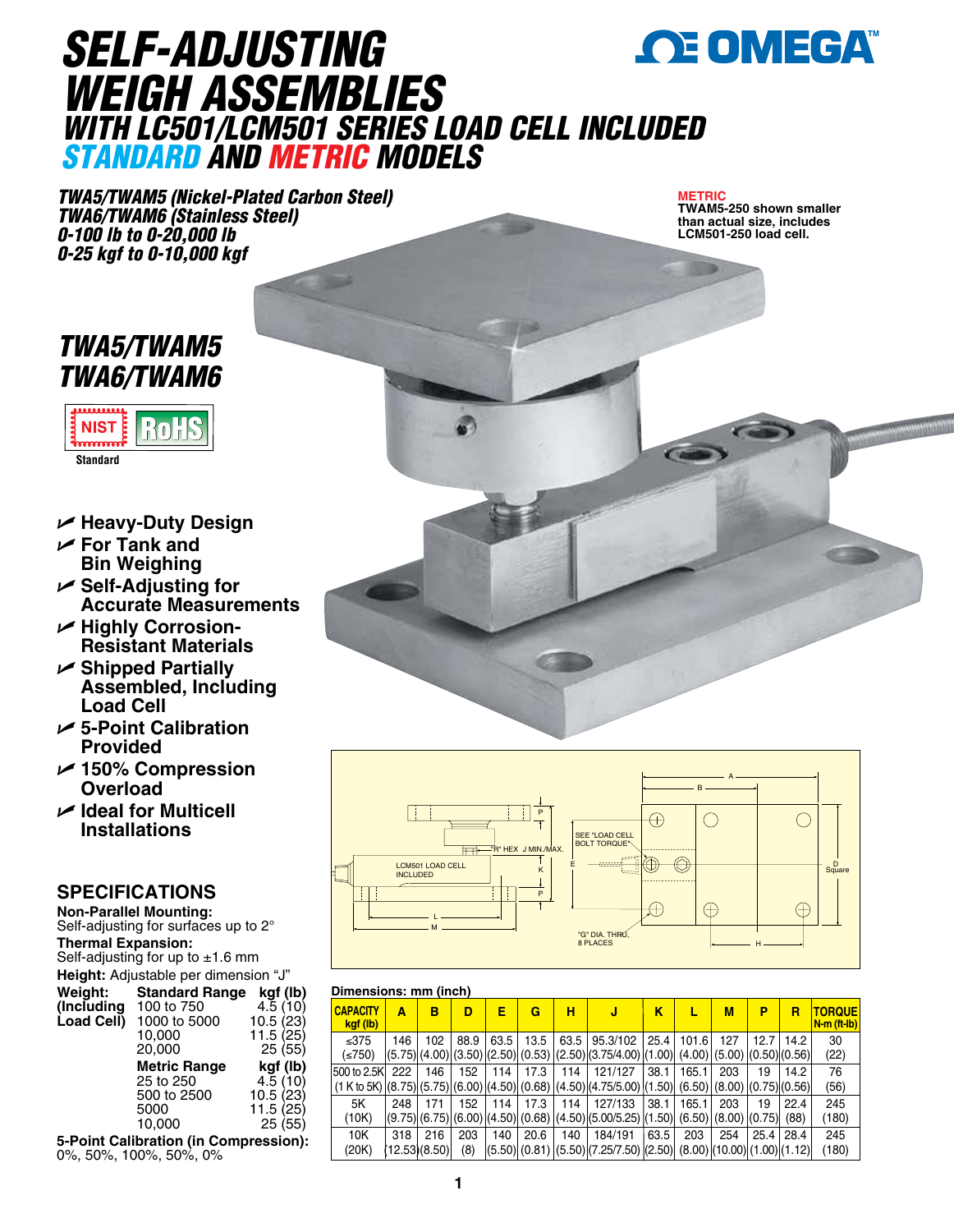

## *SELF-ADJUSTING WEIGH ASSEMBLIES WITH LC501/LCM501 SERIES LOAD CELL INCLUDED STANDARD AND METRIC MODELS*

*TWA5/TWAM5 (Nickel-Plated Carbon Steel) TWA6/TWAM6 (Stainless Steel) 0-100 lb to 0-20,000 lb 0-25 kgf to 0-10,000 kgf*

**METRIC**

**TWAM5-250 shown smaller than actual size, includes LCM501-250 load cell.** 

### *TWA5/TWAM5 TWA6/TWAM6*



- U **Heavy-Duty Design**
- U **For Tank and Bin Weighing**
- U **Self-Adjusting for Accurate Measurements**
- U **Highly Corrosion-Resistant Materials**
- U **Shipped Partially Assembled, Including Load Cell**
- U **5-Point Calibration Provided**
- U **150% Compression Overload**
- U **Ideal for Multicell Installations**

#### **SPECIFICATIONS**

**Non-Parallel Mounting:** Self-adjusting for surfaces up to 2° **Thermal Expansion:** Self-adjusting for up to  $\pm 1.6$  mm **Height:** Adjustable per dimension "J"<br>**Weight: Standard Range kgf (I Standard Range kgf (lb)**<br>100 to 750 4.5 (10) **(Including** 100 to 750  $\left( \begin{array}{cc} 4.5 & (10) \\ -2 & 4.5 & (23) \end{array} \right)$ 1000 to 5000<br>10.000 10,000 11.5 (25)  $25(55)$ **Metric Range <b>kgf (lb)**<br>25 to 250 4.5 (10) 25 to 250 4.5 (10)<br>500 to 2500 10.5 (23) 500 to 2500 5000 11.5 (25) 10,000 25 (55)

**5-Point Calibration (in Compression):** 0%, 50%, 100%, 50%, 0%



#### **Dimensions: mm (inch)**

| <b>CAPACITY</b><br>kgf (lb) | Α   | в                  | D          | Е    | G    | н   | J                                                                                                                 | κ    |                | М   | Ρ    | в            | <b>TORQUE</b><br>N-m (ft-lb) |
|-----------------------------|-----|--------------------|------------|------|------|-----|-------------------------------------------------------------------------------------------------------------------|------|----------------|-----|------|--------------|------------------------------|
| ≤375<br>( <b>750</b> )      | 146 | 102                | 88.9       | 63.5 | 13.5 |     | 63.5 95.3/102<br>$(5.75)(4.00)(3.50)(2.50)(0.53)(2.50)(3.75/4.00)(1.00)(4.00)(5.00)(0.50)(0.56)$                  |      | ا 101.6   25.4 | 127 | 12.7 | 14.2         | 30<br>(22)                   |
| 1500 to 2.5KI               | 222 | 146                | 152        | 114  | 17.3 | 114 | 121/127<br>$(1 K to 5K) (8.75) (5.75) (6.00) (4.50) (0.68) (4.50) (4.75/5.00) (1.50) (6.50) (8.00) (0.75) (0.56)$ | 38.1 | 165.1          | 203 | 19   | 14.2         | 76<br>(56)                   |
| 5K<br>(10K)                 | 248 | 171                | 152        | 114  | 17.3 | 114 | 127/133<br>$ (9.75) (6.75) (6.00) (4.50) (0.68) (4.50) (5.00/5.25) (1.50) (6.50) (8.00) (0.75) $                  | 38.1 | 165.1          | 203 | 19   | 22.4<br>(88) | 245<br>(180)                 |
| 10K<br>(20K)                | 318 | 216<br>12.53(8.50) | 203<br>(8) | 140  | 20.6 | 140 | 184/191<br>(5.50) (0.81) (5.50) (7.25/7.50) (2.50)  (8.00) (10.00) (1.00) (1.12)                                  | 63.5 | 203            | 254 | 25.4 | 28.4         | 245<br>(180)                 |